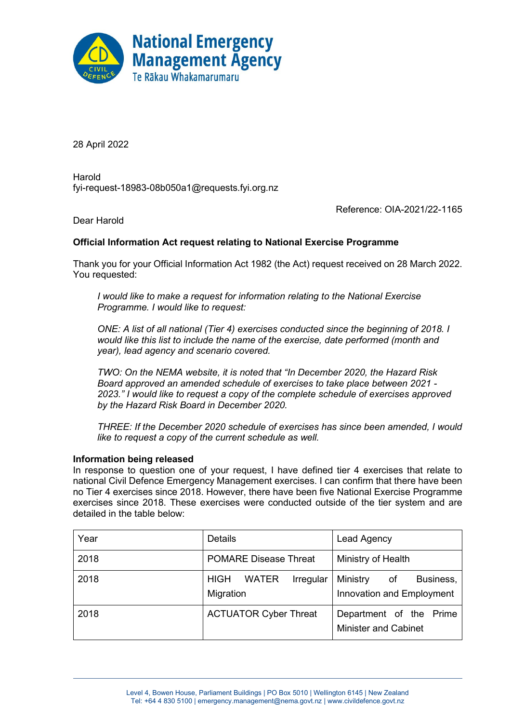

28 April 2022

Harold fyi-request-18983-08b050a1@requests.fyi.org.nz

Reference: OIA-2021/22-1165

Dear Harold

## **Official Information Act request relating to National Exercise Programme**

Thank you for your Official Information Act 1982 (the Act) request received on 28 March 2022. You requested:

*I would like to make a request for information relating to the National Exercise Programme. I would like to request:*

*ONE: A list of all national (Tier 4) exercises conducted since the beginning of 2018. I would like this list to include the name of the exercise, date performed (month and year), lead agency and scenario covered.* 

*TWO: On the NEMA website, it is noted that "In December 2020, the Hazard Risk Board approved an amended schedule of exercises to take place between 2021 - 2023." I would like to request a copy of the complete schedule of exercises approved by the Hazard Risk Board in December 2020.*

*THREE: If the December 2020 schedule of exercises has since been amended, I would like to request a copy of the current schedule as well.*

## **Information being released**

In response to question one of your request, I have defined tier 4 exercises that relate to national Civil Defence Emergency Management exercises. I can confirm that there have been no Tier 4 exercises since 2018. However, there have been five National Exercise Programme exercises since 2018. These exercises were conducted outside of the tier system and are detailed in the table below:

| Year | Details                                               | Lead Agency                                              |  |
|------|-------------------------------------------------------|----------------------------------------------------------|--|
| 2018 | <b>POMARE Disease Threat</b>                          | Ministry of Health                                       |  |
| 2018 | <b>HIGH</b><br>Irregular<br><b>WATER</b><br>Migration | Ministry<br>Business,<br>of<br>Innovation and Employment |  |
| 2018 | <b>ACTUATOR Cyber Threat</b>                          | Department of the Prime<br><b>Minister and Cabinet</b>   |  |